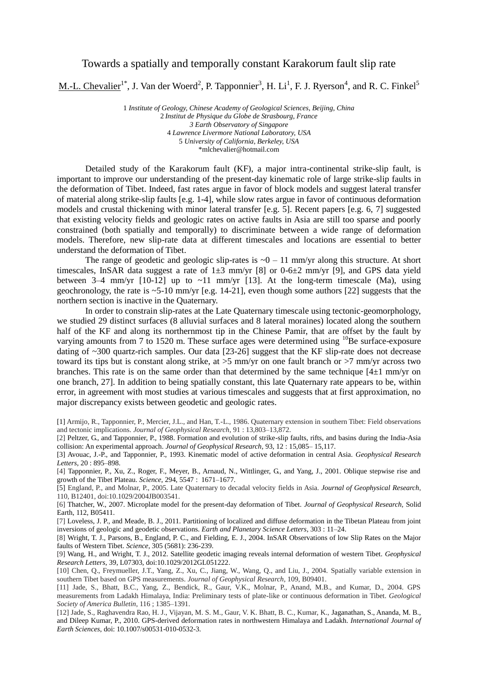## Towards a spatially and temporally constant Karakorum fault slip rate

M.-L. Chevalier<sup>1\*</sup>, J. Van der Woerd<sup>2</sup>, P. Tapponnier<sup>3</sup>, H. Li<sup>1</sup>, F. J. Ryerson<sup>4</sup>, and R. C. Finkel<sup>5</sup>

*Institute of Geology, Chinese Academy of Geological Sciences, Beijing, China Institut de Physique du Globe de Strasbourg, France 3 Earth Observatory of Singapore Lawrence Livermore National Laboratory, USA University of California, Berkeley, USA* \*mlchevalier@hotmail.com

Detailed study of the Karakorum fault (KF), a major intra-continental strike-slip fault, is important to improve our understanding of the present-day kinematic role of large strike-slip faults in the deformation of Tibet. Indeed, fast rates argue in favor of block models and suggest lateral transfer of material along strike-slip faults [e.g. 1-4], while slow rates argue in favor of continuous deformation models and crustal thickening with minor lateral transfer [e.g. 5]. Recent papers [e.g. 6, 7] suggested that existing velocity fields and geologic rates on active faults in Asia are still too sparse and poorly constrained (both spatially and temporally) to discriminate between a wide range of deformation models. Therefore, new slip-rate data at different timescales and locations are essential to better understand the deformation of Tibet.

The range of geodetic and geologic slip-rates is  $\sim 0 - 11$  mm/yr along this structure. At short timescales, InSAR data suggest a rate of  $1\pm 3$  mm/yr [8] or 0-6 $\pm 2$  mm/yr [9], and GPS data yield between 3–4 mm/yr  $[10-12]$  up to  $\sim$ 11 mm/yr  $[13]$ . At the long-term timescale (Ma), using geochronology, the rate is  $\sim$  5-10 mm/yr [e.g. 14-21], even though some authors [22] suggests that the northern section is inactive in the Quaternary.

In order to constrain slip-rates at the Late Quaternary timescale using tectonic-geomorphology, we studied 29 distinct surfaces (8 alluvial surfaces and 8 lateral moraines) located along the southern half of the KF and along its northernmost tip in the Chinese Pamir, that are offset by the fault by varying amounts from 7 to 1520 m. These surface ages were determined using  $^{10}$ Be surface-exposure dating of ~300 quartz-rich samples. Our data [23-26] suggest that the KF slip-rate does not decrease toward its tips but is constant along strike, at >5 mm/yr on one fault branch or >7 mm/yr across two branches. This rate is on the same order than that determined by the same technique  $[4\pm 1 \text{ mm/yr}$  on one branch, 27]. In addition to being spatially constant, this late Quaternary rate appears to be, within error, in agreement with most studies at various timescales and suggests that at first approximation, no major discrepancy exists between geodetic and geologic rates.

[6] Thatcher, W., 2007. Microplate model for the present-day deformation of Tibet. *Journal of Geophysical Research,* Solid Earth, 112, B05411.

[7] Loveless, J. P., and Meade, B. J., 2011. Partitioning of localized and diffuse deformation in the Tibetan Plateau from joint inversions of geologic and geodetic observations. *Earth and Planetary Science Letters*, 303 : 11–24.

[8] Wright, T. J., Parsons, B., England, P. C., and Fielding, E. J., 2004. InSAR Observations of low Slip Rates on the Major faults of Western Tibet. *Science*, 305 (5681): 236-239.

[9] Wang, H., and Wright, T. J., 2012. Satellite geodetic imaging reveals internal deformation of western Tibet. *Geophysical Research Letters*, 39, L07303, doi:10.1029/2012GL051222.

[10] Chen, Q., Freymueller, J.T., Yang, Z., Xu, C., Jiang, W., Wang, Q., and Liu, J., 2004. Spatially variable extension in southern Tibet based on GPS measurements. *Journal of Geophysical Research,* 109, B09401.

[11] Jade, S., Bhatt, B.C., Yang, Z., Bendick, R., Gaur, V.K., Molnar, P., Anand, M.B., and Kumar, D., 2004. GPS measurements from Ladakh Himalaya, India: Preliminary tests of plate-like or continuous deformation in Tibet. *Geological Society of America Bulletin*, 116 ; 1385–1391.

[12] Jade, S., Raghavendra Rao, H. J., Vijayan, M. S. M., Gaur, V. K. Bhatt, B. C., Kumar, K., Jaganathan, S., Ananda, M. B., and Dileep Kumar, P., 2010. GPS-derived deformation rates in northwestern Himalaya and Ladakh. *International Journal of Earth Sciences*, doi: 10.1007/s00531-010-0532-3.

<sup>[1]</sup> Armijo, R., Tapponnier, P., Mercier, J.L., and Han, T.-L., 1986. Quaternary extension in southern Tibet: Field observations and tectonic implications. *Journal of Geophysical Research*, 91 : 13,803–13,872.

<sup>[2]</sup> Peltzer, G., and Tapponnier, P., 1988. Formation and evolution of strike-slip faults, rifts, and basins during the India-Asia collision: An experimental approach. *Journal of Geophysical Research,* 93, 12 : 15,085– 15,117.

<sup>[3]</sup> Avouac, J.-P., and Tapponnier, P., 1993. Kinematic model of active deformation in central Asia. *Geophysical Research Letters*, 20 : 895–898.

<sup>[4]</sup> Tapponnier, P., Xu, Z., Roger, F., Meyer, B., Arnaud, N., Wittlinger, G., and Yang, J., 2001. Oblique stepwise rise and growth of the Tibet Plateau. *Science*, 294, 5547 : 1671–1677.

<sup>[5]</sup> England, P., and Molnar, P., 2005. Late Quaternary to decadal velocity fields in Asia. *Journal of Geophysical Research*, 110, B12401, doi:10.1029/2004JB003541.